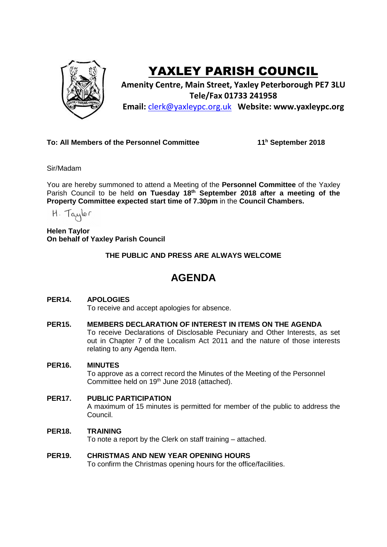

# YAXLEY PARISH COUNCIL

**Amenity Centre, Main Street, Yaxley Peterborough PE7 3LU Tele/Fax 01733 241958 Email:** [clerk@yaxleypc.org.uk](mailto:clerk@yaxleypc.org.uk) **Website: www.yaxleypc.org**

## **To: All Members of the Personnel Committee 11**

**<sup>h</sup> September 2018**

Sir/Madam

You are hereby summoned to attend a Meeting of the **Personnel Committee** of the Yaxley Parish Council to be held on Tuesday 18<sup>th</sup> September 2018 after a meeting of the **Property Committee expected start time of 7.30pm** in the **Council Chambers.**

H. Taylor

**Helen Taylor On behalf of Yaxley Parish Council**

**THE PUBLIC AND PRESS ARE ALWAYS WELCOME**

## **AGENDA**

### **PER14. APOLOGIES**

To receive and accept apologies for absence.

#### **PER15. MEMBERS DECLARATION OF INTEREST IN ITEMS ON THE AGENDA**

To receive Declarations of Disclosable Pecuniary and Other Interests, as set out in Chapter 7 of the Localism Act 2011 and the nature of those interests relating to any Agenda Item.

#### **PER16. MINUTES**

To approve as a correct record the Minutes of the Meeting of the Personnel Committee held on 19<sup>th</sup> June 2018 (attached).

#### **PER17. PUBLIC PARTICIPATION**

A maximum of 15 minutes is permitted for member of the public to address the Council.

#### **PER18. TRAINING**

To note a report by the Clerk on staff training – attached.

#### **PER19. CHRISTMAS AND NEW YEAR OPENING HOURS**

To confirm the Christmas opening hours for the office/facilities.